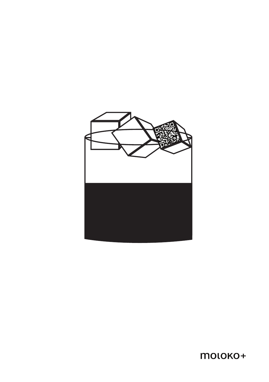

moloko+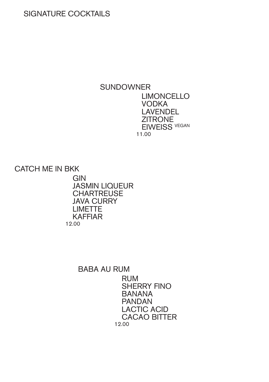## SIGNATURE COCKTAILS

### **SUNDOWNER** LIMONCELLO VODKA LAVENDEL **ZITRONE** EIWEISS VEGAN 11.00

CATCH ME IN BKK

**GIN** JASMIN LIQUEUR **CHARTREUSE** JAVA CURRY LIMETTE KAFFIAR 12.00

### BABA AU RUM

RUM SHERRY FINO BANANA PANDAN LACTIC ACID CACAO BITTER 12.00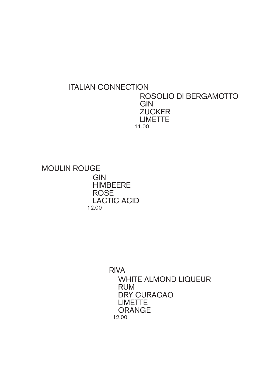### ITALIAN CONNECTION ROSOLIO DI BERGAMOTTO **GIN ZUCKER** LIMETTE 11.00

MOULIN ROUGE **GIN** HIMBEERE ROSE LACTIC ACID 12.00

> RIVA WHITE ALMOND LIQUEUR RUM DRY CURACAO LIMETTE ORANGE 12.00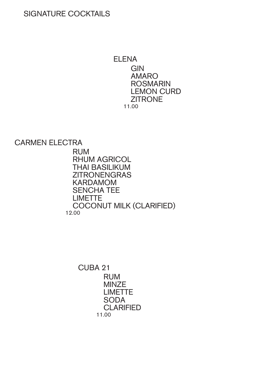### SIGNATURE COCKTAILS

ELENA **GIN** AMARO ROSMARIN LEMON CURD **ZITRONE** 11.00

CARMEN ELECTRA

RUM RHUM AGRICOL THAI BASILIKUM ZITRONENGRAS KARDAMOM SENCHA TEE LIMETTE COCONUT MILK (CLARIFIED) 12.00

> CUBA 21 RUM MINZE LIMETTE **SODA CLARIFIED** 11.00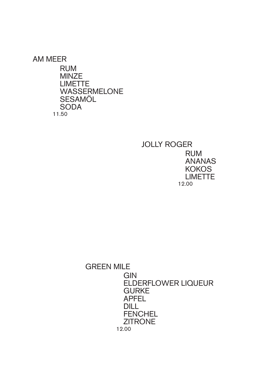AM MEER RUM MINZE LIMETTE WASSERMELONE SESAMÖL SODA 11.50

> JOLLY ROGER RUM ANANAS **KOKOS** LIMETTE 12.00

GREEN MILE **GIN** ELDERFLOWER LIQUEUR **GURKE** APFEL DILL **FENCHEL ZITRONE** 12.00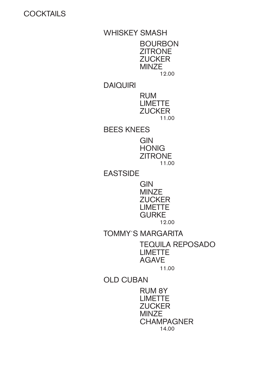**COCKTAILS** 

WHISKEY SMASH BOURBON ZITRONE **ZUCKER** MINZE 12.00 DAIQUIRI RUM LIMETTE **ZUCKER** 11.00 BEES KNEES **GIN HONIG ZITRONE** 11.00 EASTSIDE GIN MINZE **ZUCKER** LIMETTE **GURKE** 12.00 TOMMY´S MARGARITA

> TEQUILA REPOSADO LIMETTE AGAVE

> > 11.00

OLD CUBAN

RUM 8Y LIMETTE **ZUCKER MINZE CHAMPAGNER** 14.00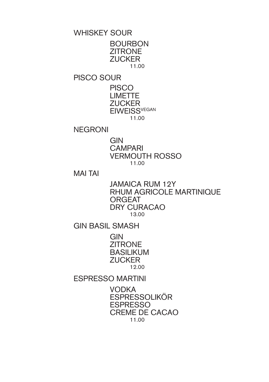WHISKEY SOUR

BOURBON **ZITRONE ZUCKER** 11.00

PISCO SOUR

**PISCO** LIMETTE **ZUCKER EIWEISS<sup>VEGAN</sup>** 11.00

NEGRONI

GIN **CAMPARI** VERMOUTH ROSSO 11.00

MAI TAI

JAMAICA RUM 12Y RHUM AGRICOLE MARTINIQUE ORGEAT DRY CURACAO 13.00

GIN BASIL SMASH

**GIN ZITRONE** BASILIKUM **ZUCKER** 12.00

ESPRESSO MARTINI

VODKA ESPRESSOLIKÖR ESPRESSO CREME DE CACAO 11.00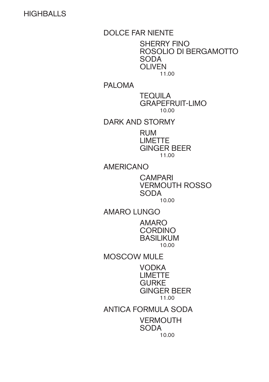## **HIGHBALLS**

DOLCE FAR NIENTE

SHERRY FINO ROSOLIO DI BERGAMOTTO SODA OLIVEN 11.00

PALOMA

TEQUILA GRAPEFRUIT-LIMO 10.00

DARK AND STORMY

RUM LIMETTE GINGER BEER 11.00

AMERICANO

**CAMPARI** VERMOUTH ROSSO SODA 10.00

AMARO LUNGO

AMARO **CORDINO** BASILIKUM 10.00

MOSCOW MULE

VODKA LIMETTE **GURKE** GINGER BEER 11.00

ANTICA FORMULA SODA **VERMOUTH** SODA 10.00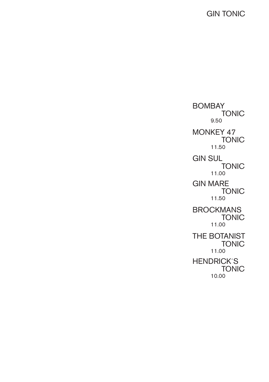GIN TONIC

BOMBAY TONIC 9.50 MONKEY 47 TONIC 11.50 GIN SUL TONIC 11.00 GIN MARE TONIC 11.50 **BROCKMANS** TONIC 11.00 THE BOTANIST **TONIC** 11.00 HENDRICK´S TONIC 10.00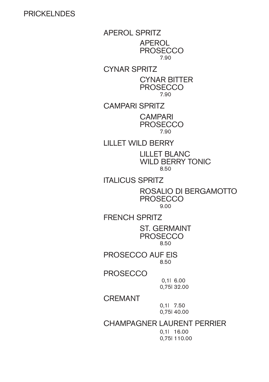### PRICKELNDES

APEROL SPRITZ APEROL **PROSECCO** 7.90 CYNAR SPRITZ CYNAR BITTER **PROSECCO** 7.90 CAMPARI SPRITZ **CAMPARI PROSECCO** 7.90

LILLET WILD BERRY

LILLET BLANC WILD BERRY TONIC 8.50

ITALICUS SPRITZ

ROSALIO DI BERGAMOTTO PROSECCO 9.00

FRENCH SPRITZ ST. GERMAINT PROSECCO

8.50

PROSECCO AUF EIS 8.50

**PROSECCO** 

0,1l 6.00 0,75l 32.00

CREMANT

0,1l 7.50 0,75l 40.00

CHAMPAGNER LAURENT PERRIER

0,1l 16.00 0,75l 110.00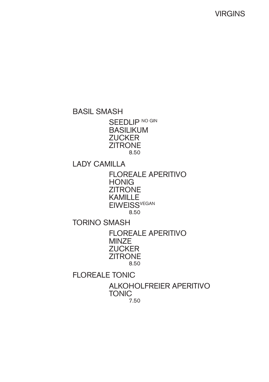VIRGINS

BASIL SMASH

SEEDLIP NO GIN BASILIKUM **ZUCKER ZITRONE** 8.50

LADY CAMILLA

FLOREALE APERITIVO **HONIG ZITRONE** KAMILLE **EIWEISS<sup>VEGAN</sup>** 8.50

TORINO SMASH

FLOREALE APERITIVO **MINZE ZUCKER ZITRONE** 8.50

FLOREALE TONIC

ALKOHOLFREIER APERITIVO TONIC 7.50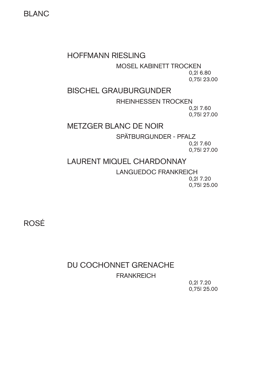BLANC

### HOFFMANN RIESLING

MOSEL KABINETT TROCKEN

0,2l 6.80 0,75l 23.00

### BISCHEL GRAUBURGUNDER

RHEINHESSEN TROCKEN 0,2l 7.60

0,75l 27.00

### METZGER BLANC DE NOIR

SPÄTBURGUNDER - PFALZ

0,2l 7.60 0,75l 27.00

### LAURENT MIQUEL CHARDONNAY

LANGUEDOC FRANKREICH

0,2l 7.20 0,75l 25.00

ROSÉ

# DU COCHONNET GRENACHE **FRANKREICH**

0,2l 7.20 0,75l 25.00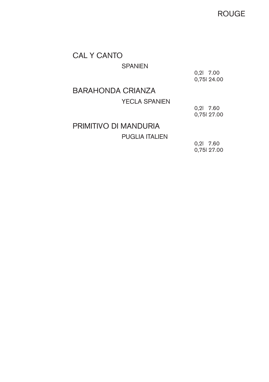ROUGE

# CAL Y CANTO

#### **SPANIEN**

0,2l 7.00 0,75l 24.00

# BARAHONDA CRIANZA

### YECLA SPANIEN

0,2l 7.60 0,75l 27.00

# PRIMITIVO DI MANDURIA

PUGLIA ITALIEN

0,2l 7.60 0,75l 27.00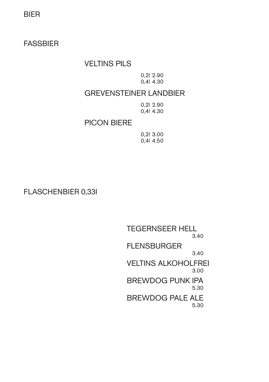BIER

FASSBIER

### VELTINS PILS

0,2l 2.90 0,4l 4.30

## GREVENSTEINER LANDBIER

0,2l 2.90 0,4l 4.30

### PICON BIERE

0,2l 3.00 0,4l 4.50

FLASCHENBIER 0,33l

TEGERNSEER HELL 3.40 FLENSBURGER 3.40 VELTINS ALKOHOLFREI 3.00 BREWDOG PUNK IPA 5.30 BREWDOG PALE ALE 5.30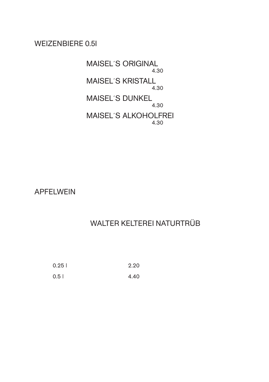## WEIZENBIERE 0.5l

MAISEL´S ORIGINAL 4.30 MAISEL´S KRISTALL 4.30 MAISEL´S DUNKEL 4.30 MAISEL´S ALKOHOLFREI 4.30

APFELWEIN

# WALTER KELTEREI NATURTRÜB

| 0.251 | 2.20 |
|-------|------|
| 0.5   | 4.40 |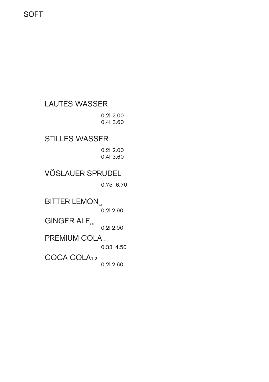**SOFT** 

LAUTES WASSER 0,2l 2.00 0,4l 3.60 STILLES WASSER 0,2l 2.00 0,4l 3.60 VÖSLAUER SPRUDEL 0,75l 6.70 BITTER LEMON<sub>2,3</sub> 0,2l 2.90

GINGER ALE<sub>23</sub> 0,2l 2.90 PREMIUM COLA<sub>12</sub> 0,33l 4.50 COCA COLA1,2

0,2l 2.60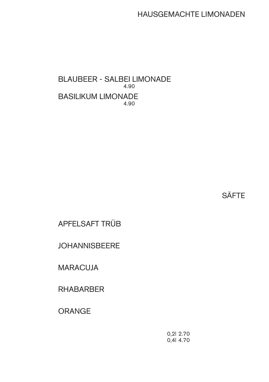HAUSGEMACHTE LIMONADEN

BLAUBEER - SALBEI LIMONADE 4.90 BASILIKUM LIMONADE 4.90

**SÄFTE** 

APFELSAFT TRÜB

JOHANNISBEERE

MARACUJA

RHABARBER

ORANGE

0,2l 2.70 0,4l 4.70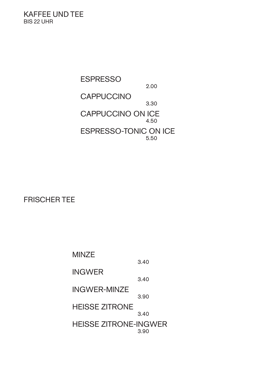KAFFEE UND TEE BIS 22 UHR

> ESPRESSO 2.00 **CAPPUCCINO** 3.30 CAPPUCCINO ON ICE 4.50 ESPRESSO-TONIC ON ICE 5.50

FRISCHER TEE

MINZE 3.40 INGWER 3.40 INGWER-MINZE 3.90 HEISSE ZITRONE 3.40 HEISSE ZITRONE-INGWER 3.90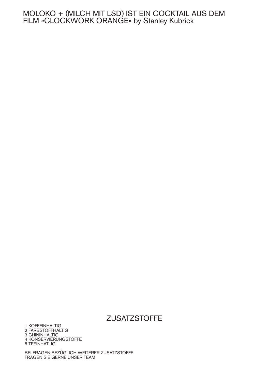#### MOLOKO + (MILCH MIT LSD) IST EIN COCKTAIL AUS DEM FILM »CLOCKWORK ORANGE« by Stanley Kubrick

### **ZUSATZSTOFFE**

1 KOFFEINHALTIG 2 FARBSTOFFHALTIG 3 CHININHALTIG 4 KONSERVIERUNGSTOFFE 5 TEEINHATLIG

BEI FRAGEN BEZÜGLICH WEITERER ZUSATZSTOFFE FRAGEN SIE GERNE UNSER TEAM